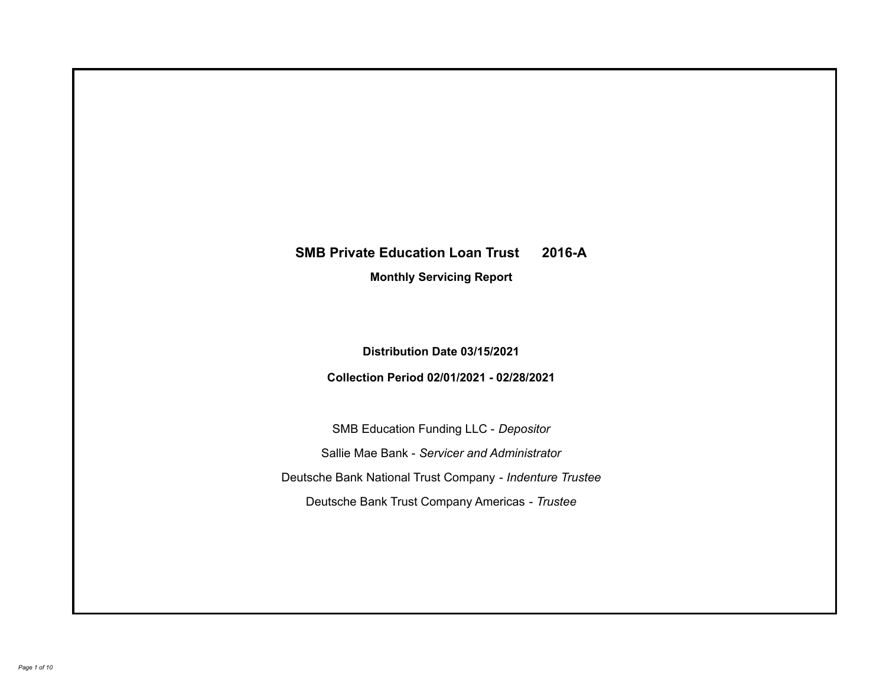# **SMB Private Education Loan Trust 2016-A**

**Monthly Servicing Report**

**Distribution Date 03/15/2021**

**Collection Period 02/01/2021 - 02/28/2021**

SMB Education Funding LLC - *Depositor* Sallie Mae Bank - *Servicer and Administrator* Deutsche Bank National Trust Company - *Indenture Trustee* Deutsche Bank Trust Company Americas - *Trustee*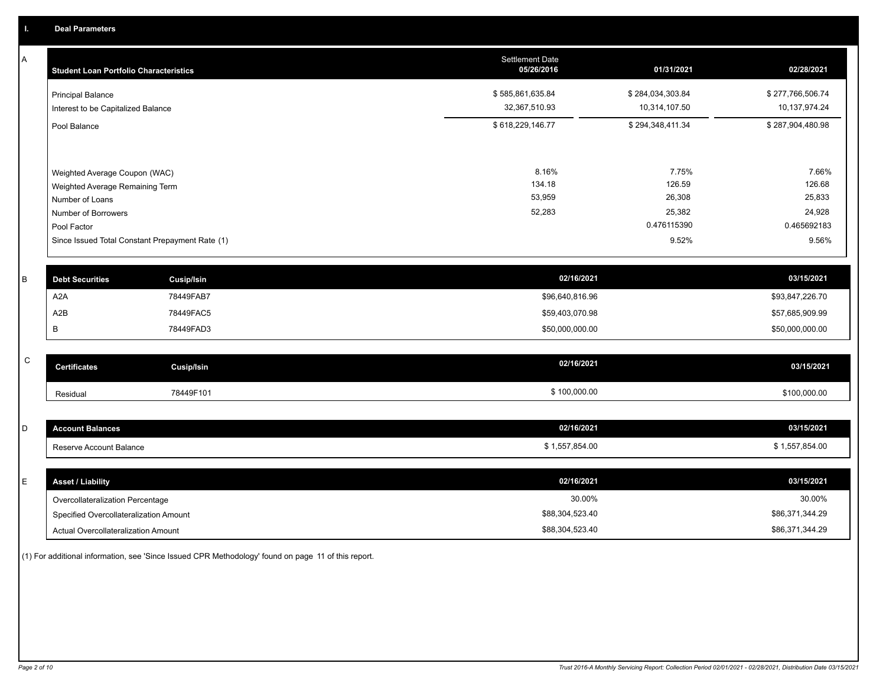A

| Α           | <b>Student Loan Portfolio Characteristics</b>      |                                                 | <b>Settlement Date</b><br>05/26/2016 | 01/31/2021       | 02/28/2021       |
|-------------|----------------------------------------------------|-------------------------------------------------|--------------------------------------|------------------|------------------|
|             | <b>Principal Balance</b>                           |                                                 | \$585,861,635.84                     | \$284,034,303.84 | \$277,766,506.74 |
|             | Interest to be Capitalized Balance                 |                                                 | 32,367,510.93                        | 10,314,107.50    | 10,137,974.24    |
|             | Pool Balance                                       |                                                 | \$618,229,146.77                     | \$294,348,411.34 | \$287,904,480.98 |
|             |                                                    |                                                 | 8.16%                                | 7.75%            | 7.66%            |
|             | Weighted Average Coupon (WAC)                      |                                                 | 134.18                               | 126.59           | 126.68           |
|             | Weighted Average Remaining Term<br>Number of Loans |                                                 | 53,959                               | 26,308           | 25,833           |
|             | Number of Borrowers                                |                                                 | 52,283                               | 25,382           | 24,928           |
|             | Pool Factor                                        |                                                 |                                      | 0.476115390      | 0.465692183      |
|             |                                                    | Since Issued Total Constant Prepayment Rate (1) |                                      | 9.52%            | 9.56%            |
| B           | <b>Debt Securities</b>                             | Cusip/Isin                                      | 02/16/2021                           |                  | 03/15/2021       |
|             | A2A                                                | 78449FAB7                                       | \$96,640,816.96                      |                  | \$93,847,226.70  |
|             | A2B                                                | 78449FAC5                                       | \$59,403,070.98                      |                  | \$57,685,909.99  |
|             | В                                                  | 78449FAD3                                       | \$50,000,000.00                      |                  | \$50,000,000.00  |
|             |                                                    |                                                 |                                      |                  |                  |
| $\mathsf C$ | <b>Certificates</b>                                | <b>Cusip/Isin</b>                               | 02/16/2021                           |                  | 03/15/2021       |
|             | Residual                                           | 78449F101                                       | \$100,000.00                         |                  | \$100,000.00     |
|             |                                                    |                                                 |                                      |                  |                  |
| D           | <b>Account Balances</b>                            |                                                 | 02/16/2021                           |                  | 03/15/2021       |
|             | Reserve Account Balance                            |                                                 | \$1,557,854.00                       |                  | \$1,557,854.00   |
|             |                                                    |                                                 |                                      |                  |                  |
| E.          | <b>Asset / Liability</b>                           |                                                 | 02/16/2021                           |                  | 03/15/2021       |

| <b>Asset / Liability</b>               | 02/16/2021      | 03/15/2021      |
|----------------------------------------|-----------------|-----------------|
| Overcollateralization Percentage       | 30.00%          | 30.00%          |
| Specified Overcollateralization Amount | \$88,304,523.40 | \$86,371,344.29 |
| Actual Overcollateralization Amount    | \$88,304,523.40 | \$86,371,344.29 |

(1) For additional information, see 'Since Issued CPR Methodology' found on page 11 of this report.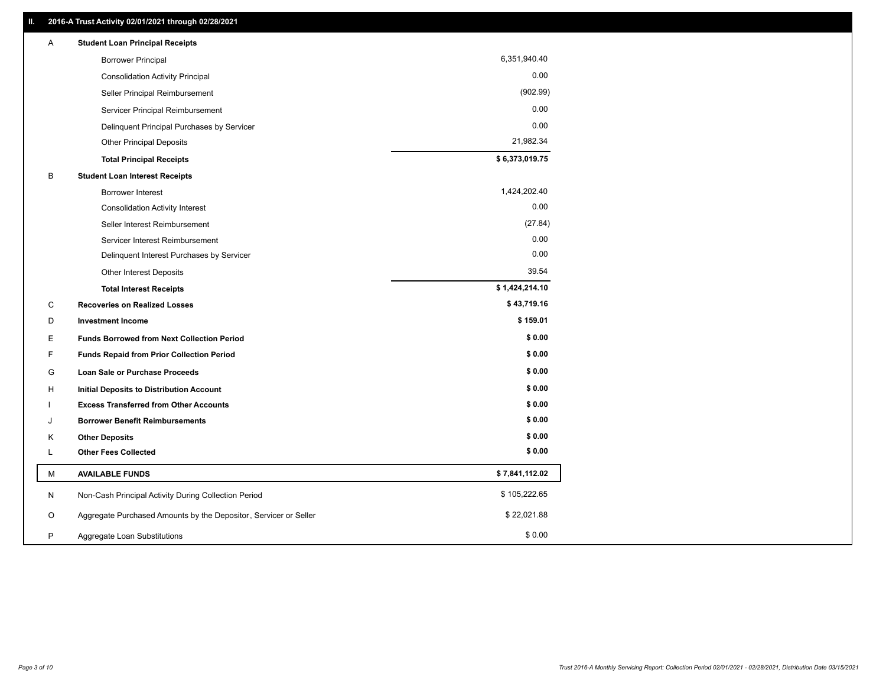| Α | <b>Student Loan Principal Receipts</b>                           |                |  |
|---|------------------------------------------------------------------|----------------|--|
|   | <b>Borrower Principal</b>                                        | 6,351,940.40   |  |
|   | <b>Consolidation Activity Principal</b>                          | 0.00           |  |
|   | Seller Principal Reimbursement                                   | (902.99)       |  |
|   | Servicer Principal Reimbursement                                 | 0.00           |  |
|   | Delinquent Principal Purchases by Servicer                       | 0.00           |  |
|   | Other Principal Deposits                                         | 21,982.34      |  |
|   | <b>Total Principal Receipts</b>                                  | \$6,373,019.75 |  |
| В | <b>Student Loan Interest Receipts</b>                            |                |  |
|   | <b>Borrower Interest</b>                                         | 1,424,202.40   |  |
|   | <b>Consolidation Activity Interest</b>                           | 0.00           |  |
|   | Seller Interest Reimbursement                                    | (27.84)        |  |
|   | Servicer Interest Reimbursement                                  | 0.00           |  |
|   | Delinquent Interest Purchases by Servicer                        | 0.00           |  |
|   | Other Interest Deposits                                          | 39.54          |  |
|   | <b>Total Interest Receipts</b>                                   | \$1,424,214.10 |  |
| C | <b>Recoveries on Realized Losses</b>                             | \$43,719.16    |  |
| D | <b>Investment Income</b>                                         | \$159.01       |  |
| E | <b>Funds Borrowed from Next Collection Period</b>                | \$0.00         |  |
| F | <b>Funds Repaid from Prior Collection Period</b>                 | \$0.00         |  |
| G | Loan Sale or Purchase Proceeds                                   | \$0.00         |  |
| H | <b>Initial Deposits to Distribution Account</b>                  | \$0.00         |  |
|   | <b>Excess Transferred from Other Accounts</b>                    | \$0.00         |  |
| J | <b>Borrower Benefit Reimbursements</b>                           | \$0.00         |  |
| Κ | <b>Other Deposits</b>                                            | \$0.00         |  |
| L | <b>Other Fees Collected</b>                                      | \$0.00         |  |
| м | <b>AVAILABLE FUNDS</b>                                           | \$7,841,112.02 |  |
| N | Non-Cash Principal Activity During Collection Period             | \$105,222.65   |  |
| O | Aggregate Purchased Amounts by the Depositor, Servicer or Seller | \$22,021.88    |  |
| P | Aggregate Loan Substitutions                                     | \$0.00         |  |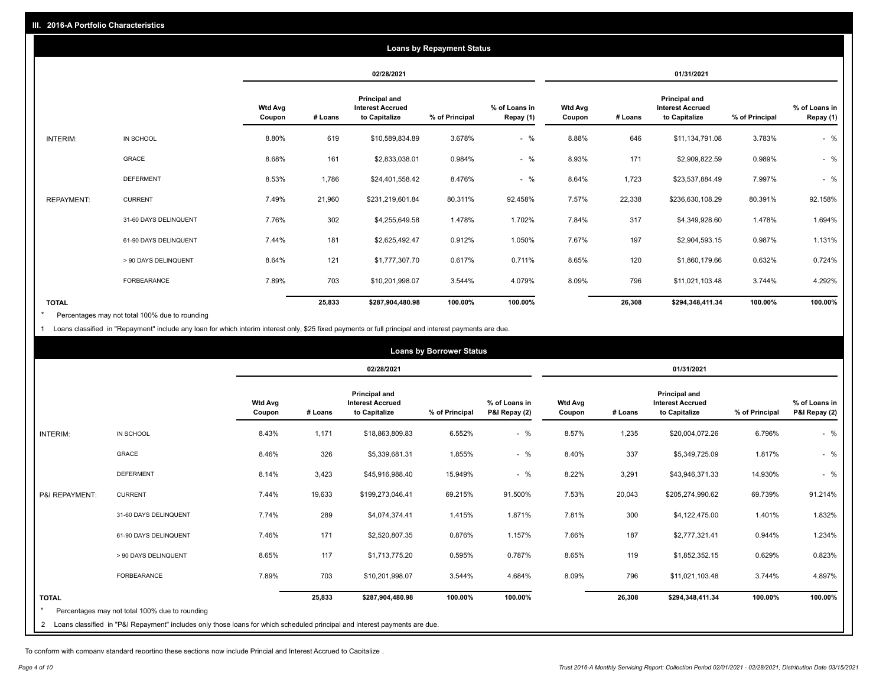|                   |                       |                          |            |                                                           | <b>Loans by Repayment Status</b> |                            |                          |         |                                                           |                |                            |
|-------------------|-----------------------|--------------------------|------------|-----------------------------------------------------------|----------------------------------|----------------------------|--------------------------|---------|-----------------------------------------------------------|----------------|----------------------------|
|                   |                       |                          | 02/28/2021 |                                                           |                                  |                            | 01/31/2021               |         |                                                           |                |                            |
|                   |                       | <b>Wtd Avg</b><br>Coupon | # Loans    | Principal and<br><b>Interest Accrued</b><br>to Capitalize | % of Principal                   | % of Loans in<br>Repay (1) | <b>Wtd Avg</b><br>Coupon | # Loans | Principal and<br><b>Interest Accrued</b><br>to Capitalize | % of Principal | % of Loans in<br>Repay (1) |
| INTERIM:          | IN SCHOOL             | 8.80%                    | 619        | \$10,589,834.89                                           | 3.678%                           | $-$ %                      | 8.88%                    | 646     | \$11,134,791.08                                           | 3.783%         | $-$ %                      |
|                   | GRACE                 | 8.68%                    | 161        | \$2,833,038.01                                            | 0.984%                           | $-$ %                      | 8.93%                    | 171     | \$2,909,822.59                                            | 0.989%         | $-$ %                      |
|                   | <b>DEFERMENT</b>      | 8.53%                    | 1,786      | \$24,401,558.42                                           | 8.476%                           | $-$ %                      | 8.64%                    | 1,723   | \$23,537,884.49                                           | 7.997%         | $-$ %                      |
| <b>REPAYMENT:</b> | <b>CURRENT</b>        | 7.49%                    | 21,960     | \$231,219,601.84                                          | 80.311%                          | 92.458%                    | 7.57%                    | 22,338  | \$236,630,108.29                                          | 80.391%        | 92.158%                    |
|                   | 31-60 DAYS DELINQUENT | 7.76%                    | 302        | \$4,255,649.58                                            | 1.478%                           | 1.702%                     | 7.84%                    | 317     | \$4,349,928.60                                            | 1.478%         | 1.694%                     |
|                   | 61-90 DAYS DELINQUENT | 7.44%                    | 181        | \$2,625,492.47                                            | 0.912%                           | 1.050%                     | 7.67%                    | 197     | \$2,904,593.15                                            | 0.987%         | 1.131%                     |
|                   | > 90 DAYS DELINQUENT  | 8.64%                    | 121        | \$1,777,307.70                                            | 0.617%                           | 0.711%                     | 8.65%                    | 120     | \$1,860,179.66                                            | 0.632%         | 0.724%                     |
|                   | <b>FORBEARANCE</b>    | 7.89%                    | 703        | \$10,201,998.07                                           | 3.544%                           | 4.079%                     | 8.09%                    | 796     | \$11,021,103.48                                           | 3.744%         | 4.292%                     |
| <b>TOTAL</b>      |                       |                          | 25,833     | \$287,904,480.98                                          | 100.00%                          | 100.00%                    |                          | 26,308  | \$294,348,411.34                                          | 100.00%        | 100.00%                    |

Percentages may not total 100% due to rounding \*

1 Loans classified in "Repayment" include any loan for which interim interest only, \$25 fixed payments or full principal and interest payments are due.

|                | <b>Loans by Borrower Status</b>                                                                                              |                          |            |                                                                  |                |                                |                          |         |                                                           |                |                                |
|----------------|------------------------------------------------------------------------------------------------------------------------------|--------------------------|------------|------------------------------------------------------------------|----------------|--------------------------------|--------------------------|---------|-----------------------------------------------------------|----------------|--------------------------------|
|                |                                                                                                                              |                          | 02/28/2021 |                                                                  |                | 01/31/2021                     |                          |         |                                                           |                |                                |
|                |                                                                                                                              | <b>Wtd Avg</b><br>Coupon | # Loans    | <b>Principal and</b><br><b>Interest Accrued</b><br>to Capitalize | % of Principal | % of Loans in<br>P&I Repay (2) | <b>Wtd Avg</b><br>Coupon | # Loans | Principal and<br><b>Interest Accrued</b><br>to Capitalize | % of Principal | % of Loans in<br>P&I Repay (2) |
| INTERIM:       | IN SCHOOL                                                                                                                    | 8.43%                    | 1,171      | \$18,863,809.83                                                  | 6.552%         | $-$ %                          | 8.57%                    | 1,235   | \$20,004,072.26                                           | 6.796%         | $-$ %                          |
|                | GRACE                                                                                                                        | 8.46%                    | 326        | \$5,339,681.31                                                   | 1.855%         | $-$ %                          | 8.40%                    | 337     | \$5,349,725.09                                            | 1.817%         | $-$ %                          |
|                | <b>DEFERMENT</b>                                                                                                             | 8.14%                    | 3,423      | \$45,916,988.40                                                  | 15.949%        | $-$ %                          | 8.22%                    | 3,291   | \$43,946,371.33                                           | 14.930%        | $-$ %                          |
| P&I REPAYMENT: | <b>CURRENT</b>                                                                                                               | 7.44%                    | 19,633     | \$199,273,046.41                                                 | 69.215%        | 91.500%                        | 7.53%                    | 20,043  | \$205,274,990.62                                          | 69.739%        | 91.214%                        |
|                | 31-60 DAYS DELINQUENT                                                                                                        | 7.74%                    | 289        | \$4,074,374.41                                                   | 1.415%         | 1.871%                         | 7.81%                    | 300     | \$4,122,475.00                                            | 1.401%         | 1.832%                         |
|                | 61-90 DAYS DELINQUENT                                                                                                        | 7.46%                    | 171        | \$2,520,807.35                                                   | 0.876%         | 1.157%                         | 7.66%                    | 187     | \$2,777,321.41                                            | 0.944%         | 1.234%                         |
|                | > 90 DAYS DELINQUENT                                                                                                         | 8.65%                    | 117        | \$1,713,775.20                                                   | 0.595%         | 0.787%                         | 8.65%                    | 119     | \$1,852,352.15                                            | 0.629%         | 0.823%                         |
|                | FORBEARANCE                                                                                                                  | 7.89%                    | 703        | \$10,201,998.07                                                  | 3.544%         | 4.684%                         | 8.09%                    | 796     | \$11,021,103.48                                           | 3.744%         | 4.897%                         |
| <b>TOTAL</b>   | Percentages may not total 100% due to rounding                                                                               |                          | 25,833     | \$287,904,480.98                                                 | 100.00%        | 100.00%                        |                          | 26,308  | \$294,348,411.34                                          | 100.00%        | 100.00%                        |
|                | 2 Loans classified in "P&I Repayment" includes only those loans for which scheduled principal and interest payments are due. |                          |            |                                                                  |                |                                |                          |         |                                                           |                |                                |

To conform with company standard reporting these sections now include Princial and Interest Accrued to Capitalize .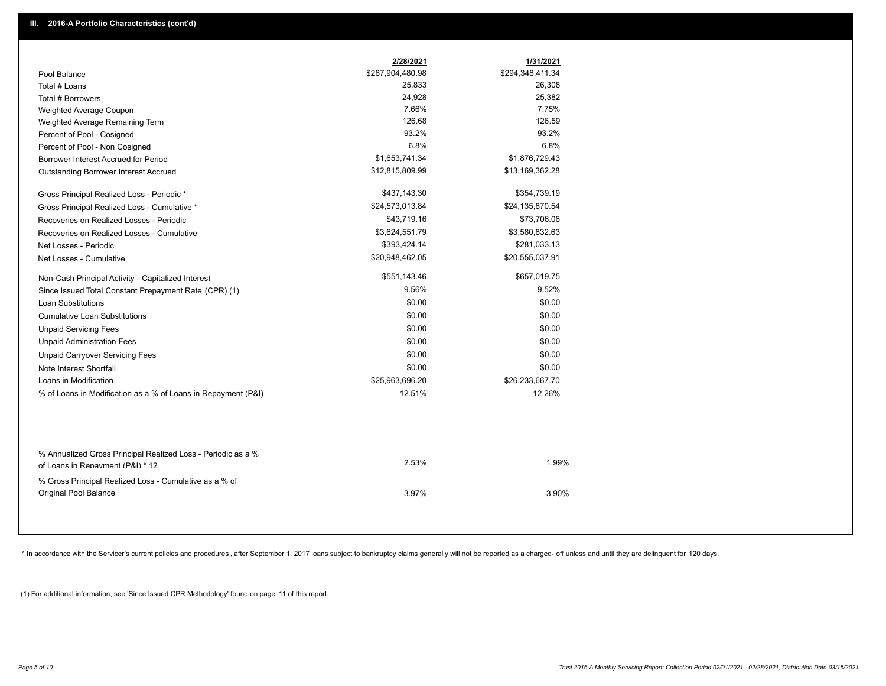|                                                                                        | 2/28/2021        | 1/31/2021        |
|----------------------------------------------------------------------------------------|------------------|------------------|
| Pool Balance                                                                           | \$287,904,480.98 | \$294,348,411.34 |
| Total # Loans                                                                          | 25,833           | 26,308           |
| Total # Borrowers                                                                      | 24,928           | 25,382           |
| Weighted Average Coupon                                                                | 7.66%            | 7.75%            |
| Weighted Average Remaining Term                                                        | 126.68           | 126.59           |
| Percent of Pool - Cosigned                                                             | 93.2%            | 93.2%            |
| Percent of Pool - Non Cosigned                                                         | 6.8%             | 6.8%             |
| Borrower Interest Accrued for Period                                                   | \$1,653,741.34   | \$1,876,729.43   |
| Outstanding Borrower Interest Accrued                                                  | \$12,815,809.99  | \$13,169,362.28  |
| Gross Principal Realized Loss - Periodic *                                             | \$437,143.30     | \$354,739.19     |
| Gross Principal Realized Loss - Cumulative *                                           | \$24,573,013.84  | \$24,135,870.54  |
| Recoveries on Realized Losses - Periodic                                               | \$43,719.16      | \$73,706.06      |
| Recoveries on Realized Losses - Cumulative                                             | \$3,624,551.79   | \$3,580,832.63   |
| Net Losses - Periodic                                                                  | \$393,424.14     | \$281,033.13     |
| Net Losses - Cumulative                                                                | \$20,948,462.05  | \$20,555,037.91  |
| Non-Cash Principal Activity - Capitalized Interest                                     | \$551,143.46     | \$657,019.75     |
| Since Issued Total Constant Prepayment Rate (CPR) (1)                                  | 9.56%            | 9.52%            |
| <b>Loan Substitutions</b>                                                              | \$0.00           | \$0.00           |
| <b>Cumulative Loan Substitutions</b>                                                   | \$0.00           | \$0.00           |
| <b>Unpaid Servicing Fees</b>                                                           | \$0.00           | \$0.00           |
| <b>Unpaid Administration Fees</b>                                                      | \$0.00           | \$0.00           |
| <b>Unpaid Carryover Servicing Fees</b>                                                 | \$0.00           | \$0.00           |
| Note Interest Shortfall                                                                | \$0.00           | \$0.00           |
| Loans in Modification                                                                  | \$25,963,696.20  | \$26,233,667.70  |
| % of Loans in Modification as a % of Loans in Repayment (P&I)                          | 12.51%           | 12.26%           |
| % Annualized Gross Principal Realized Loss - Periodic as a %                           | 2.53%            | 1.99%            |
| of Loans in Repayment (P&I) * 12                                                       |                  |                  |
| % Gross Principal Realized Loss - Cumulative as a % of<br><b>Original Pool Balance</b> | 3.97%            | 3.90%            |

\* In accordance with the Servicer's current policies and procedures, after September 1, 2017 loans subject to bankruptcy claims generally will not be reported as a charged- off unless and until they are delinquent for 120

(1) For additional information, see 'Since Issued CPR Methodology' found on page 11 of this report.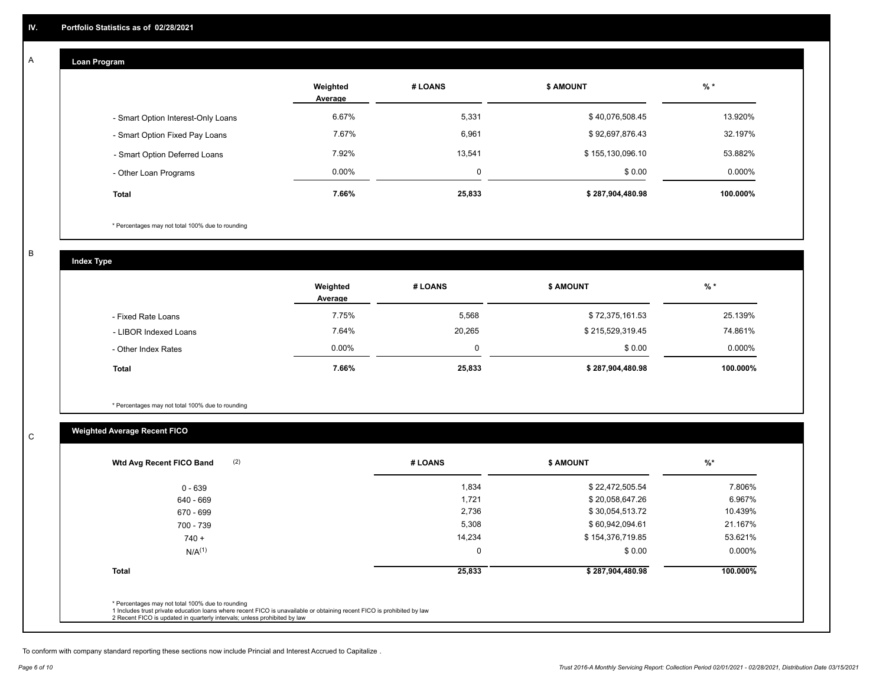#### **Loan Program**  A

|                                    | Weighted<br>Average | # LOANS  | <b>\$ AMOUNT</b> | $%$ *    |
|------------------------------------|---------------------|----------|------------------|----------|
| - Smart Option Interest-Only Loans | 6.67%               | 5,331    | \$40,076,508.45  | 13.920%  |
| - Smart Option Fixed Pay Loans     | 7.67%               | 6,961    | \$92,697,876.43  | 32.197%  |
| - Smart Option Deferred Loans      | 7.92%               | 13,541   | \$155,130,096.10 | 53.882%  |
| - Other Loan Programs              | $0.00\%$            | $\Omega$ | \$0.00           | 0.000%   |
| <b>Total</b>                       | 7.66%               | 25,833   | \$287,904,480.98 | 100.000% |

\* Percentages may not total 100% due to rounding

B

C

**Index Type**

|                       | Weighted<br>Average | # LOANS | <b>\$ AMOUNT</b> | $%$ *     |
|-----------------------|---------------------|---------|------------------|-----------|
| - Fixed Rate Loans    | 7.75%               | 5,568   | \$72,375,161.53  | 25.139%   |
| - LIBOR Indexed Loans | 7.64%               | 20,265  | \$215,529,319.45 | 74.861%   |
| - Other Index Rates   | $0.00\%$            | 0       | \$0.00           | $0.000\%$ |
| <b>Total</b>          | 7.66%               | 25,833  | \$287,904,480.98 | 100.000%  |

\* Percentages may not total 100% due to rounding

# **Weighted Average Recent FICO**

| $0 - 639$    | 1,834       | \$22,472,505.54  | 7.806%    |
|--------------|-------------|------------------|-----------|
| 640 - 669    | 1,721       | \$20,058,647.26  | 6.967%    |
| 670 - 699    | 2,736       | \$30,054,513.72  | 10.439%   |
| 700 - 739    | 5,308       | \$60,942,094.61  | 21.167%   |
| $740 +$      | 14,234      | \$154,376,719.85 | 53.621%   |
| $N/A^{(1)}$  | $\mathbf 0$ | \$0.00           | $0.000\%$ |
| <b>Total</b> | 25,833      | \$287,904,480.98 | 100.000%  |

To conform with company standard reporting these sections now include Princial and Interest Accrued to Capitalize .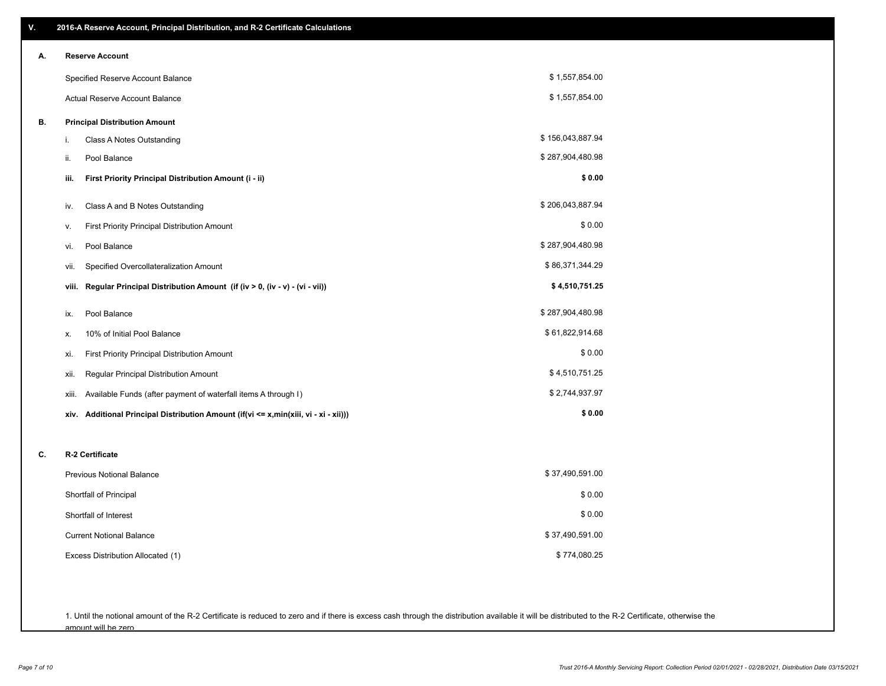| V. | 2016-A Reserve Account, Principal Distribution, and R-2 Certificate Calculations     |                  |
|----|--------------------------------------------------------------------------------------|------------------|
| А. | <b>Reserve Account</b>                                                               |                  |
|    | Specified Reserve Account Balance                                                    | \$1,557,854.00   |
|    | Actual Reserve Account Balance                                                       | \$1,557,854.00   |
| В. | <b>Principal Distribution Amount</b>                                                 |                  |
|    | i.<br>Class A Notes Outstanding                                                      | \$156,043,887.94 |
|    | Pool Balance<br>ii.                                                                  | \$287,904,480.98 |
|    | First Priority Principal Distribution Amount (i - ii)<br>iii.                        | \$0.00           |
|    | Class A and B Notes Outstanding<br>iv.                                               | \$206,043,887.94 |
|    | First Priority Principal Distribution Amount<br>٧.                                   | \$0.00           |
|    | Pool Balance<br>vi.                                                                  | \$287,904,480.98 |
|    | Specified Overcollateralization Amount<br>vii.                                       | \$86,371,344.29  |
|    | Regular Principal Distribution Amount (if (iv > 0, (iv - v) - (vi - vii))<br>viii.   | \$4,510,751.25   |
|    | Pool Balance<br>ix.                                                                  | \$287,904,480.98 |
|    | 10% of Initial Pool Balance<br>х.                                                    | \$61,822,914.68  |
|    | First Priority Principal Distribution Amount<br>xi.                                  | \$0.00           |
|    | Regular Principal Distribution Amount<br>xii.                                        | \$4,510,751.25   |
|    | Available Funds (after payment of waterfall items A through I)<br>xiii.              | \$2,744,937.97   |
|    | xiv. Additional Principal Distribution Amount (if(vi <= x,min(xiii, vi - xi - xii))) | \$0.00           |
| C. | R-2 Certificate                                                                      |                  |
|    | Previous Notional Balance                                                            | \$37,490,591.00  |
|    | Shortfall of Principal                                                               | \$0.00           |
|    | Shortfall of Interest                                                                | \$0.00           |
|    | <b>Current Notional Balance</b>                                                      | \$37,490,591.00  |
|    | Excess Distribution Allocated (1)                                                    | \$774,080.25     |
|    |                                                                                      |                  |
|    |                                                                                      |                  |

1. Until the notional amount of the R-2 Certificate is reduced to zero and if there is excess cash through the distribution available it will be distributed to the R-2 Certificate, otherwise the amount will be zero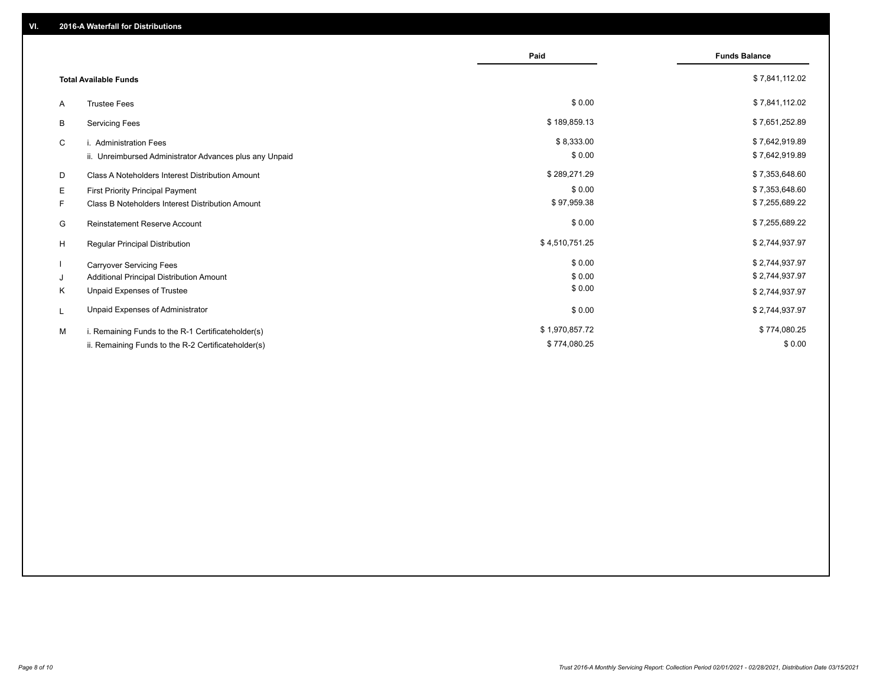|    |                                                         | Paid           | <b>Funds Balance</b> |
|----|---------------------------------------------------------|----------------|----------------------|
|    | <b>Total Available Funds</b>                            |                | \$7,841,112.02       |
| A  | <b>Trustee Fees</b>                                     | \$0.00         | \$7,841,112.02       |
| В  | <b>Servicing Fees</b>                                   | \$189,859.13   | \$7,651,252.89       |
| C  | i. Administration Fees                                  | \$8,333.00     | \$7,642,919.89       |
|    | ii. Unreimbursed Administrator Advances plus any Unpaid | \$0.00         | \$7,642,919.89       |
| D  | Class A Noteholders Interest Distribution Amount        | \$289,271.29   | \$7,353,648.60       |
| Е  | First Priority Principal Payment                        | \$0.00         | \$7,353,648.60       |
| F. | Class B Noteholders Interest Distribution Amount        | \$97,959.38    | \$7,255,689.22       |
| G  | <b>Reinstatement Reserve Account</b>                    | \$0.00         | \$7,255,689.22       |
| H  | Regular Principal Distribution                          | \$4,510,751.25 | \$2,744,937.97       |
|    | <b>Carryover Servicing Fees</b>                         | \$0.00         | \$2,744,937.97       |
| J  | Additional Principal Distribution Amount                | \$0.00         | \$2,744,937.97       |
| Κ  | Unpaid Expenses of Trustee                              | \$0.00         | \$2,744,937.97       |
| L  | Unpaid Expenses of Administrator                        | \$0.00         | \$2,744,937.97       |
| M  | i. Remaining Funds to the R-1 Certificateholder(s)      | \$1,970,857.72 | \$774,080.25         |
|    | ii. Remaining Funds to the R-2 Certificateholder(s)     | \$774,080.25   | \$0.00               |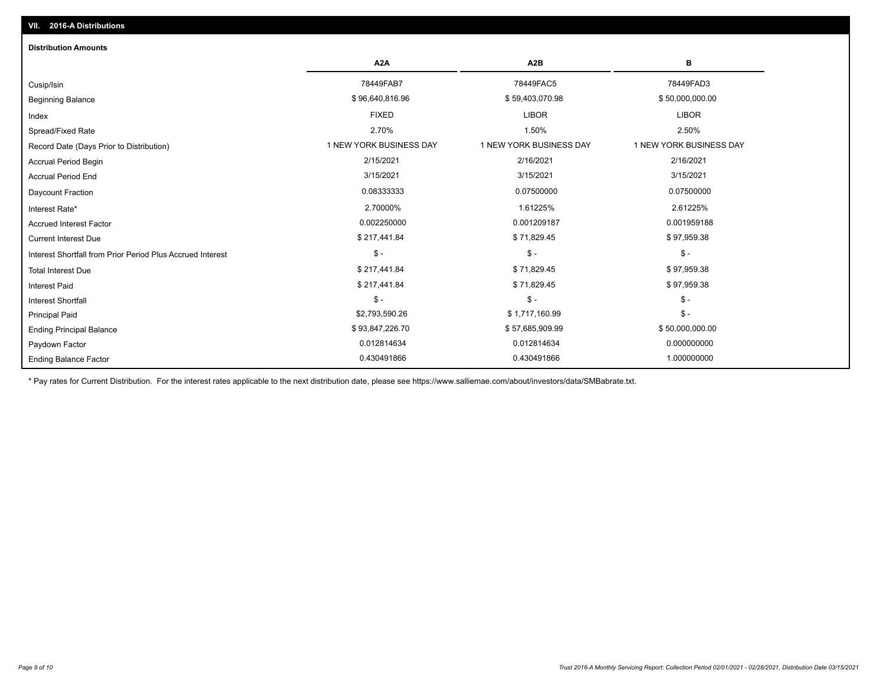| <b>Distribution Amounts</b>                                |                         |                         |                         |
|------------------------------------------------------------|-------------------------|-------------------------|-------------------------|
|                                                            | A <sub>2</sub> A        | A <sub>2</sub> B        | в                       |
| Cusip/Isin                                                 | 78449FAB7               | 78449FAC5               | 78449FAD3               |
| <b>Beginning Balance</b>                                   | \$96,640,816.96         | \$59,403,070.98         | \$50,000,000.00         |
| Index                                                      | <b>FIXED</b>            | <b>LIBOR</b>            | <b>LIBOR</b>            |
| Spread/Fixed Rate                                          | 2.70%                   | 1.50%                   | 2.50%                   |
| Record Date (Days Prior to Distribution)                   | 1 NEW YORK BUSINESS DAY | 1 NEW YORK BUSINESS DAY | 1 NEW YORK BUSINESS DAY |
| <b>Accrual Period Begin</b>                                | 2/15/2021               | 2/16/2021               | 2/16/2021               |
| <b>Accrual Period End</b>                                  | 3/15/2021               | 3/15/2021               | 3/15/2021               |
| <b>Daycount Fraction</b>                                   | 0.08333333              | 0.07500000              | 0.07500000              |
| Interest Rate*                                             | 2.70000%                | 1.61225%                | 2.61225%                |
| <b>Accrued Interest Factor</b>                             | 0.002250000             | 0.001209187             | 0.001959188             |
| <b>Current Interest Due</b>                                | \$217,441.84            | \$71,829.45             | \$97,959.38             |
| Interest Shortfall from Prior Period Plus Accrued Interest | $\mathcal{S}$ -         | $$ -$                   | $\mathsf{\$}$ -         |
| <b>Total Interest Due</b>                                  | \$217,441.84            | \$71,829.45             | \$97,959.38             |
| <b>Interest Paid</b>                                       | \$217,441.84            | \$71,829.45             | \$97,959.38             |
| <b>Interest Shortfall</b>                                  | $\mathsf{\$}$ -         | $$ -$                   | $\mathsf{\$}$ -         |
| <b>Principal Paid</b>                                      | \$2,793,590.26          | \$1,717,160.99          | $\mathsf{\$}$ -         |
| <b>Ending Principal Balance</b>                            | \$93,847,226.70         | \$57,685,909.99         | \$50,000,000.00         |
| Paydown Factor                                             | 0.012814634             | 0.012814634             | 0.000000000             |
| <b>Ending Balance Factor</b>                               | 0.430491866             | 0.430491866             | 1.000000000             |

\* Pay rates for Current Distribution. For the interest rates applicable to the next distribution date, please see https://www.salliemae.com/about/investors/data/SMBabrate.txt.

**VII. 2016-A Distributions**